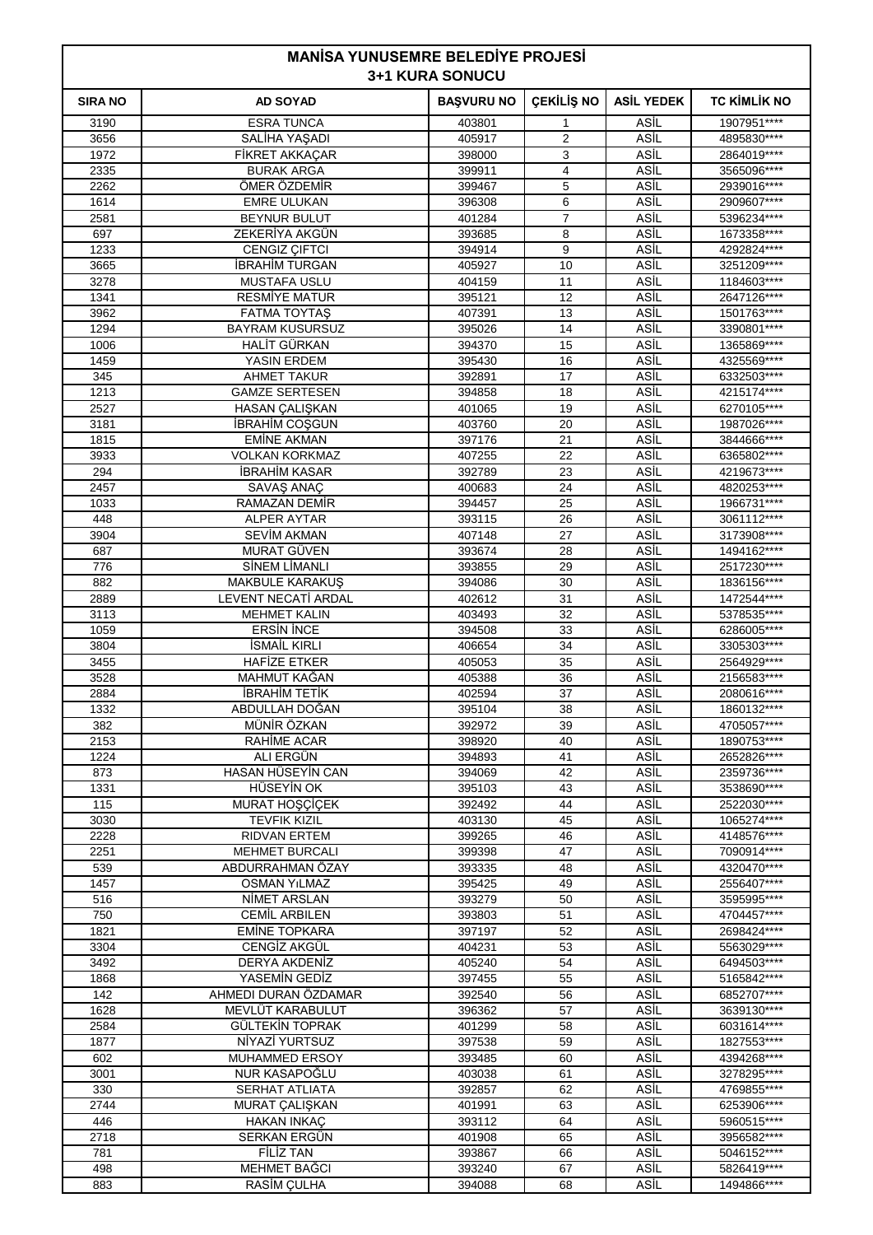| <b>MANISA YUNUSEMRE BELEDIYE PROJESİ</b><br><b>3+1 KURA SONUCU</b> |                                       |                   |                     |                   |                            |
|--------------------------------------------------------------------|---------------------------------------|-------------------|---------------------|-------------------|----------------------------|
| <b>SIRA NO</b>                                                     | <b>AD SOYAD</b>                       | <b>BAŞVURU NO</b> | <b>ÇEKİLİŞ NO</b>   | <b>ASİL YEDEK</b> | <b>TC KIMLIK NO</b>        |
| 3190                                                               | <b>ESRA TUNCA</b>                     | 403801            | 1                   | ASİL              | 1907951****                |
| 3656                                                               | SALİHA YAŞADI                         | 405917            | 2                   | ASİL              | 4895830****                |
| 1972                                                               | FİKRET AKKAÇAR                        | 398000            | 3                   | ASİL              | 2864019****                |
| 2335                                                               | <b>BURAK ARGA</b>                     | 399911            | 4                   | ASİL              | 3565096****                |
| 2262                                                               | ÖMER ÖZDEMİR                          | 399467            | 5                   | ASİL              | 2939016****                |
| 1614                                                               | <b>EMRE ULUKAN</b>                    | 396308            | 6                   | ASİL              | 2909607****                |
| 2581<br>697                                                        | <b>BEYNUR BULUT</b><br>ZEKERİYA AKGÜN | 401284<br>393685  | $\overline{7}$<br>8 | ASİL<br>ASİL      | 5396234****<br>1673358**** |
| 1233                                                               | <b>CENGIZ ÇIFTCI</b>                  | 394914            | 9                   | ASİL              | 4292824 ****               |
| 3665                                                               | <b>İBRAHİM TURGAN</b>                 | 405927            | 10                  | ASİL              | 3251209****                |
| 3278                                                               | <b>MUSTAFA USLU</b>                   | 404159            | 11                  | ASİL              | 1184603****                |
| 1341                                                               | <b>RESMIYE MATUR</b>                  | 395121            | 12                  | ASİL              | 2647126****                |
| 3962                                                               | <b>FATMA TOYTAS</b>                   | 407391            | 13                  | ASİL              | 1501763****                |
| 1294                                                               | <b>BAYRAM KUSURSUZ</b>                | 395026            | 14                  | ASİL              | 3390801****                |
| 1006                                                               | HALİT GÜRKAN                          | 394370            | 15                  | ASİL              | 1365869****                |
| 1459                                                               | YASIN ERDEM                           | 395430            | 16                  | ASİL              | 4325569****                |
| 345                                                                | <b>AHMET TAKUR</b>                    | 392891            | 17                  | ASİL              | 6332503****                |
| 1213                                                               | <b>GAMZE SERTESEN</b>                 | 394858            | 18                  | ASİL              | 4215174****                |
| 2527                                                               | <b>HASAN CALISKAN</b>                 | 401065            | 19                  | ASİL              | 6270105****                |
| 3181                                                               | <b>IBRAHIM COŞGUN</b>                 | 403760            | 20                  | ASİL              | 1987026****                |
| 1815                                                               | <b>EMİNE AKMAN</b>                    | 397176            | 21                  | ASİL              | 3844666****                |
| 3933                                                               | <b>VOLKAN KORKMAZ</b>                 | 407255            | 22                  | ASİL              | 6365802****                |
| 294                                                                | <b>İBRAHİM KASAR</b>                  | 392789            | 23                  | ASİL              | 4219673****                |
| 2457<br>1033                                                       | SAVAŞ ANAÇ<br>RAMAZAN DEMİR           | 400683<br>394457  | 24<br>25            | ASİL<br>ASİL      | 4820253****<br>1966731**** |
| 448                                                                | <b>ALPER AYTAR</b>                    | 393115            | 26                  | ASİL              | 3061112****                |
| 3904                                                               | <b>SEVIM AKMAN</b>                    | 407148            | 27                  | ASİL              | 3173908****                |
| 687                                                                | MURAT GÜVEN                           | 393674            | 28                  | ASİL              | 1494162****                |
| 776                                                                | <b>SİNEM LİMANLI</b>                  | 393855            | 29                  | ASİL              | 2517230****                |
| 882                                                                | <b>MAKBULE KARAKUS</b>                | 394086            | 30                  | ASİL              | 1836156****                |
| 2889                                                               | LEVENT NECATI ARDAL                   | 402612            | 31                  | ASİL              | 1472544****                |
| 3113                                                               | <b>MEHMET KALIN</b>                   | 403493            | 32                  | ASİL              | 5378535****                |
| 1059                                                               | <b>ERSIN INCE</b>                     | 394508            | 33                  | ASİL              | 6286005****                |
| 3804                                                               | <b>İSMAİL KIRLI</b>                   | 406654            | 34                  | ASİL              | 3305303****                |
| 3455                                                               | <b>HAFIZE ETKER</b>                   | 405053            | 35                  | ASİL              | 2564929 ****               |
| 3528                                                               | <b>MAHMUT KAGAN</b>                   | 405388            | 36                  | ASİL              | 2156583****                |
| 2884                                                               | <b>IBRAHIM TETIK</b>                  | 402594            | 37                  | ASİL              | 2080616****                |
| 1332                                                               | ABDULLAH DOĞAN                        | 395104            | 38                  | ASİL              | 1860132****                |
| 382                                                                | MÜNİR ÖZKAN                           | 392972            | 39                  | ASİL              | 4705057****                |
| 2153<br>1224                                                       | RAHIME ACAR<br>ALI ERGÜN              | 398920<br>394893  | 40<br>41            | ASİL<br>ASİL      | 1890753****<br>2652826**** |
| 873                                                                | HASAN HÜSEYİN CAN                     | 394069            | 42                  | ASİL              | 2359736****                |
| 1331                                                               | HÜSEYİN OK                            | 395103            | 43                  | ASİL              | 3538690****                |
| 115                                                                | MURAT HOŞÇİÇEK                        | 392492            | 44                  | ASİL              | 2522030****                |
| 3030                                                               | <b>TEVFIK KIZIL</b>                   | 403130            | 45                  | ASİL              | 1065274****                |
| 2228                                                               | <b>RIDVAN ERTEM</b>                   | 399265            | 46                  | ASİL              | 4148576****                |
| 2251                                                               | <b>MEHMET BURCALI</b>                 | 399398            | 47                  | ASİL              | 7090914****                |
| 539                                                                | ABDURRAHMAN ÖZAY                      | 393335            | 48                  | ASİL              | 4320470****                |
| 1457                                                               | <b>OSMAN YILMAZ</b>                   | 395425            | 49                  | ASİL              | 2556407****                |
| 516                                                                | NIMET ARSLAN                          | 393279            | 50                  | ASİL              | 3595995****                |
| 750                                                                | <b>CEMIL ARBILEN</b>                  | 393803            | 51                  | ASİL              | 4704457****                |
| 1821                                                               | <b>EMINE TOPKARA</b>                  | 397197            | 52                  | ASİL              | 2698424****                |
| 3304                                                               | CENGİZ AKGÜL                          | 404231            | 53                  | ASİL              | 5563029****                |
| 3492                                                               | <b>DERYA AKDENİZ</b>                  | 405240            | 54                  | ASİL              | 6494503****                |
| 1868<br>142                                                        | YASEMİN GEDİZ<br>AHMEDI DURAN ÖZDAMAR | 397455<br>392540  | 55<br>56            | ASİL<br>ASİL      | 5165842****<br>6852707**** |
| 1628                                                               | MEVLÜT KARABULUT                      | 396362            | 57                  | ASİL              | 3639130****                |
| 2584                                                               | GÜLTEKİN TOPRAK                       | 401299            | 58                  | ASİL              | 6031614****                |
| 1877                                                               | NİYAZİ YURTSUZ                        | 397538            | 59                  | ASİL              | 1827553****                |
| 602                                                                | MUHAMMED ERSOY                        | 393485            | 60                  | ASİL              | 4394268****                |
| 3001                                                               | <b>NUR KASAPOGLU</b>                  | 403038            | 61                  | ASİL              | 3278295****                |
| 330                                                                | <b>SERHAT ATLIATA</b>                 | 392857            | 62                  | ASİL              | 4769855****                |
| 2744                                                               | MURAT CALISKAN                        | 401991            | 63                  | ASİL              | 6253906****                |
| 446                                                                | <b>HAKAN INKAÇ</b>                    | 393112            | 64                  | ASİL              | 5960515****                |
| 2718                                                               | SERKAN ERGÜN                          | 401908            | 65                  | <b>ASIL</b>       | 3956582****                |

 FİLİZ TAN 393867 66 ASİL 5046152\*\*\*\* MEHMET BAĞCI 393240 67 ASİL 5826419\*\*\*\* RASİM ÇULHA 394088 68 ASİL 1494866\*\*\*\*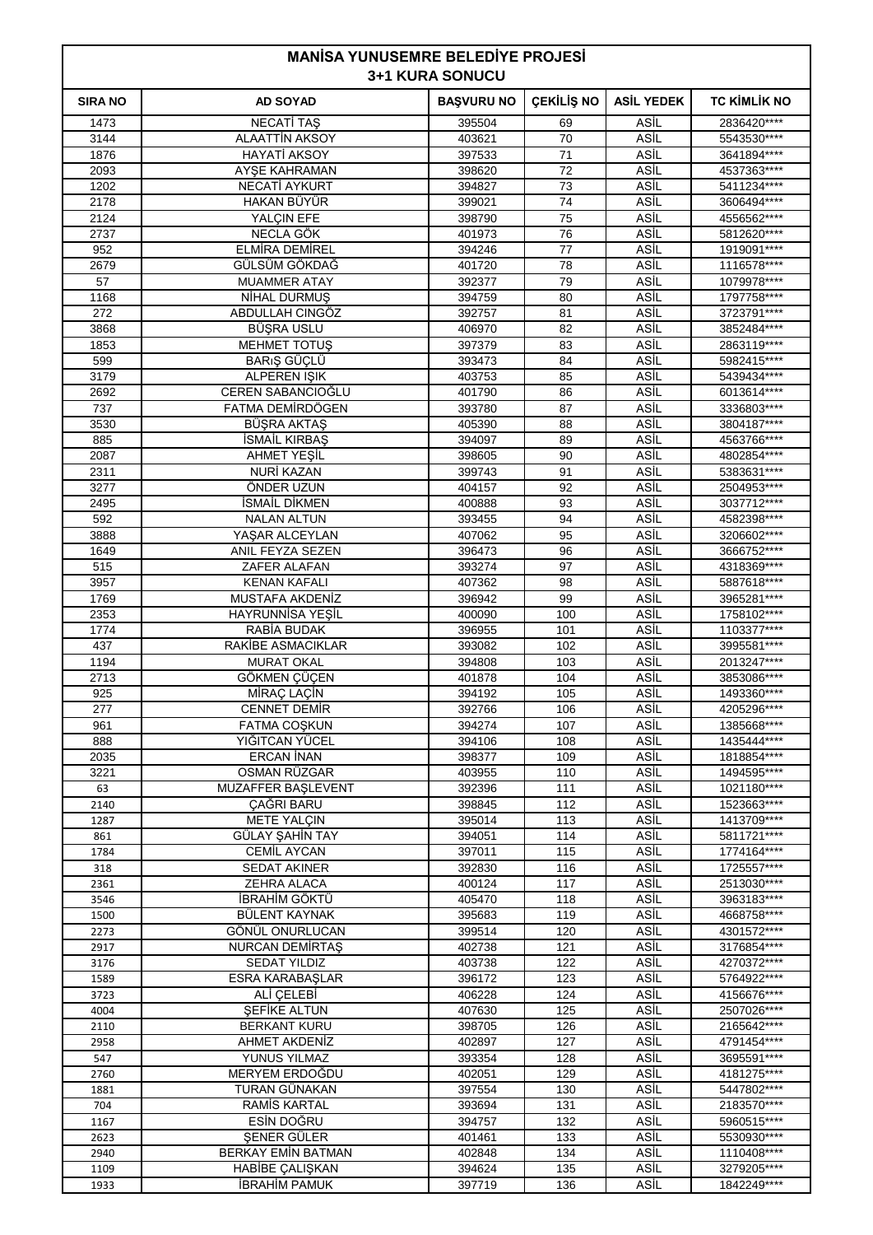| <b>MANISA YUNUSEMRE BELEDIYE PROJESI</b><br><b>3+1 KURA SONUCU</b> |                                              |                   |                   |                     |                             |
|--------------------------------------------------------------------|----------------------------------------------|-------------------|-------------------|---------------------|-----------------------------|
| <b>SIRA NO</b>                                                     | <b>AD SOYAD</b>                              | <b>BAŞVURU NO</b> | <b>CEKİLİŞ NO</b> | <b>ASİL YEDEK</b>   | <b>TC KIMLIK NO</b>         |
| 1473                                                               | <b>NECATI TAŞ</b>                            | 395504            | 69                | <b>ASIL</b>         | 2836420****                 |
| 3144                                                               | <b>ALAATTİN AKSOY</b>                        | 403621            | 70                | ASİL                | 5543530****                 |
| 1876                                                               | <b>HAYATİ AKSOY</b>                          | 397533            | 71                | ASİL                | 3641894****                 |
| 2093<br>1202                                                       | AYSE KAHRAMAN<br><b>NECATİ AYKURT</b>        | 398620            | 72<br>73          | ASİL<br>ASİL        | 4537363****<br>5411234****  |
| 2178                                                               | HAKAN BÜYÜR                                  | 394827<br>399021  | 74                | ASİL                | 3606494****                 |
| 2124                                                               | YALÇIN EFE                                   | 398790            | 75                | <b>ASIL</b>         | 4556562****                 |
| 2737                                                               | NECLA GÖK                                    | 401973            | 76                | ASİL                | 5812620****                 |
| 952                                                                | <b>ELMİRA DEMİREL</b>                        | 394246            | 77                | ASİL                | 1919091 ****                |
| 2679                                                               | GÜLSÜM GÖKDAĞ                                | 401720            | 78                | ASİL                | 1116578****                 |
| 57<br>1168                                                         | <b>MUAMMER ATAY</b><br>NIHAL DURMUŞ          | 392377<br>394759  | 79<br>80          | ASİL<br>ASİL        | 1079978****<br>1797758****  |
| 272                                                                | ABDULLAH CINGÖZ                              | 392757            | 81                | ASİL                | 3723791****                 |
| 3868                                                               | BÜŞRA USLU                                   | 406970            | 82                | ASİL                | 3852484 ****                |
| 1853                                                               | <b>MEHMET TOTUS</b>                          | 397379            | 83                | ASİL                | 2863119 ****                |
| 599                                                                | BARIŞ GÜÇLÜ                                  | 393473            | 84                | ASİL                | 5982415****                 |
| 3179                                                               | <b>ALPEREN ISIK</b>                          | 403753            | 85                | ASIL                | 5439434****                 |
| 2692<br>737                                                        | CEREN SABANCIOĞLU<br>FATMA DEMİRDÖGEN        | 401790            | 86<br>87          | ASİL<br>ASİL        | 6013614****                 |
| 3530                                                               | BÜŞRA AKTAŞ                                  | 393780<br>405390  | 88                | ASİL                | 3336803****<br>3804187****  |
| 885                                                                | <b>İSMAİL KIRBAŞ</b>                         | 394097            | 89                | ASİL                | 4563766****                 |
| 2087                                                               | AHMET YEŞİL                                  | 398605            | 90                | ASİL                | 4802854 ****                |
| 2311                                                               | <b>NURİ KAZAN</b>                            | 399743            | 91                | ASİL                | 5383631 ****                |
| 3277                                                               | ÖNDER UZUN                                   | 404157            | 92                | ASİL                | 2504953****                 |
| 2495                                                               | <b>İSMAİL DİKMEN</b>                         | 400888            | 93<br>94          | ASİL<br>ASİL        | 3037712****<br>4582398 **** |
| 592<br>3888                                                        | <b>NALAN ALTUN</b><br>YAŞAR ALCEYLAN         | 393455<br>407062  | 95                | ASİL                | 3206602****                 |
| 1649                                                               | ANIL FEYZA SEZEN                             | 396473            | 96                | ASİL                | 3666752****                 |
| 515                                                                | ZAFER ALAFAN                                 | 393274            | 97                | ASİL                | 4318369****                 |
| 3957                                                               | KENAN KAFALI                                 | 407362            | 98                | ASİL                | 5887618****                 |
| 1769                                                               | MUSTAFA AKDENİZ                              | 396942            | 99                | ASİL                | 3965281****                 |
| 2353<br>1774                                                       | <b>HAYRUNNISA YESIL</b><br>RABİA BUDAK       | 400090<br>396955  | 100<br>101        | ASİL<br>ASİL        | 1758102****<br>1103377****  |
| 437                                                                | RAKIBE ASMACIKLAR                            | 393082            | 102               | ASİL                | 3995581****                 |
| 1194                                                               | <b>MURAT OKAL</b>                            | 394808            | 103               | ASİL                | 2013247****                 |
| 2713                                                               | GÖKMEN ÇÜÇEN                                 | 401878            | 104               | <b>ASIL</b>         | 3853086****                 |
| 925                                                                | MİRAÇ LAÇİN                                  | 394192            | 105               | ASİL                | 1493360****                 |
| 277                                                                | <b>CENNET DEMIR</b>                          | 392766            | 106               | ASİL                | 4205296****                 |
| 961<br>888                                                         | <b>FATMA COSKUN</b><br>YIĞITCAN YÜCEL        | 394274<br>394106  | 107<br>108        | ASİL<br>ASİL        | 1385668****<br>1435444****  |
| 2035                                                               | <b>ERCAN İNAN</b>                            | 398377            | 109               | ASİL                | 1818854****                 |
| 3221                                                               | OSMAN RÜZGAR                                 | 403955            | 110               | ASİL                | 1494595****                 |
| 63                                                                 | MUZAFFER BAŞLEVENT                           | 392396            | 111               | ASİL                | 1021180****                 |
| 2140                                                               | ÇAĞRI BARU                                   | 398845            | 112               | <b>ASIL</b>         | 1523663****                 |
| 1287                                                               | <b>METE YALCIN</b>                           | 395014            | 113               | ASİL                | 1413709****                 |
| 861<br>1784                                                        | <b>GÜLAY ŞAHIN TAY</b><br><b>CEMİL AYCAN</b> | 394051<br>397011  | 114<br>115        | <b>ASIL</b><br>ASİL | 5811721****<br>1774164****  |
| 318                                                                | <b>SEDAT AKINER</b>                          | 392830            | 116               | ASİL                | 1725557****                 |
| 2361                                                               | ZEHRA ALACA                                  | 400124            | 117               | <b>ASIL</b>         | 2513030****                 |
| 3546                                                               | İBRAHİM GÖKTÜ                                | 405470            | 118               | ASİL                | 3963183****                 |
| 1500                                                               | <b>BÜLENT KAYNAK</b>                         | 395683            | 119               | <b>ASIL</b>         | 4668758****                 |
| 2273<br>2917                                                       | GÖNÜL ONURLUCAN<br><b>NURCAN DEMIRTAS</b>    | 399514<br>402738  | 120<br>121        | ASİL<br><b>ASIL</b> | 4301572****<br>3176854****  |
| 3176                                                               | <b>SEDAT YILDIZ</b>                          | 403738            | 122               | <b>ASIL</b>         | 4270372****                 |
| 1589                                                               | ESRA KARABAŞLAR                              | 396172            | 123               | ASİL                | 5764922****                 |
| 3723                                                               | ALİ ÇELEBİ                                   | 406228            | 124               | <b>ASIL</b>         | 4156676****                 |
| 4004                                                               | <b>SEFIKE ALTUN</b>                          | 407630            | 125               | ASİL                | 2507026****                 |
| 2110                                                               | <b>BERKANT KURU</b>                          | 398705            | 126               | ASİL                | 2165642****                 |
| 2958<br>547                                                        | <b>AHMET AKDENIZ</b><br>YUNUS YILMAZ         | 402897<br>393354  | 127<br>128        | <b>ASIL</b><br>ASİL | 4791454 ****<br>3695591**** |
| 2760                                                               | MERYEM ERDOĞDU                               | 402051            | 129               | ASİL                | 4181275****                 |
| 1881                                                               | TURAN GÜNAKAN                                | 397554            | 130               | ASİL                | 5447802****                 |
| 704                                                                | <b>RAMIS KARTAL</b>                          | 393694            | 131               | <b>ASIL</b>         | 2183570****                 |
| 1167                                                               | ESİN DOĞRU                                   | 394757            | 132               | <b>ASIL</b>         | 5960515****                 |
| 2623                                                               | SENER GÜLER                                  | 401461            | 133               | ASİL<br><b>ASIL</b> | 5530930****                 |
| 2940<br>1109                                                       | <b>BERKAY EMİN BATMAN</b><br>HABİBE ÇALIŞKAN | 402848<br>394624  | 134<br>135        | ASİL                | 1110408****<br>3279205****  |
| 1933                                                               | <b>İBRAHİM PAMUK</b>                         | 397719            | 136               | <b>ASIL</b>         | 1842249****                 |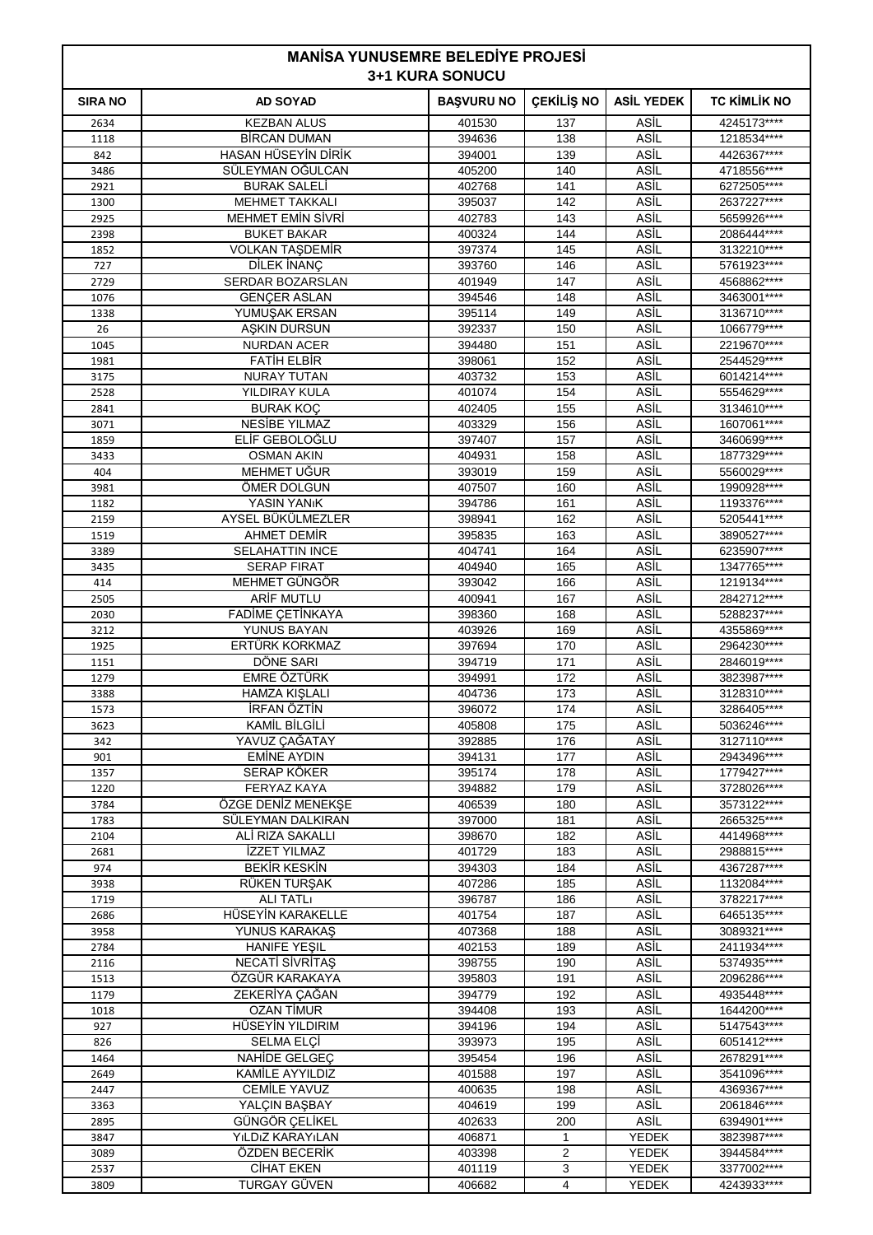| <b>MANISA YUNUSEMRE BELEDIYE PROJESI</b><br><b>3+1 KURA SONUCU</b> |                                               |                   |              |                   |                             |
|--------------------------------------------------------------------|-----------------------------------------------|-------------------|--------------|-------------------|-----------------------------|
| <b>SIRA NO</b>                                                     | <b>AD SOYAD</b>                               | <b>BAŞVURU NO</b> | ÇEKİLİŞ NO   | <b>ASİL YEDEK</b> | <b>TC KIMLIK NO</b>         |
| 2634                                                               | <b>KEZBAN ALUS</b>                            | 401530            | 137          | ASİL              | 4245173****                 |
| 1118                                                               | <b>BIRCAN DUMAN</b>                           | 394636            | 138          | ASİL              | 1218534****                 |
| 842                                                                | HASAN HÜSEYİN DİRİK                           | 394001            | 139          | ASİL              | 4426367****                 |
| 3486                                                               | SÜLEYMAN OĞULCAN                              | 405200            | 140          | ASİL              | 4718556****                 |
| 2921                                                               | <b>BURAK SALELİ</b>                           | 402768            | 141          | ASİL              | 6272505****                 |
| 1300                                                               | <b>MEHMET TAKKALI</b>                         | 395037            | 142          | ASİL              | 2637227****                 |
| 2925                                                               | <b>MEHMET EMIN SIVRI</b>                      | 402783            | 143          | ASİL              | 5659926****                 |
| 2398                                                               | <b>BUKET BAKAR</b>                            | 400324            | 144          | ASİL              | 2086444****                 |
| 1852                                                               | <b>VOLKAN TAŞDEMİR</b>                        | 397374            | 145          | ASİL              | 3132210****                 |
| 727                                                                | DİLEK İNANÇ                                   | 393760            | 146<br>147   | ASİL<br>ASİL      | 5761923****<br>4568862****  |
| 2729<br>1076                                                       | SERDAR BOZARSLAN<br><b>GENÇER ASLAN</b>       | 401949<br>394546  | 148          | ASİL              | 3463001****                 |
| 1338                                                               | YUMUŞAK ERSAN                                 | 395114            | 149          | ASİL              | 3136710****                 |
| 26                                                                 | <b>ASKIN DURSUN</b>                           | 392337            | 150          | ASİL              | 1066779****                 |
| 1045                                                               | <b>NURDAN ACER</b>                            | 394480            | 151          | ASİL              | 2219670****                 |
| 1981                                                               | <b>FATIH ELBIR</b>                            | 398061            | 152          | ASİL              | 2544529****                 |
| 3175                                                               | <b>NURAY TUTAN</b>                            | 403732            | 153          | ASİL              | 6014214****                 |
| 2528                                                               | YILDIRAY KULA                                 | 401074            | 154          | ASİL              | 5554629****                 |
| 2841                                                               | <b>BURAK KOÇ</b>                              | 402405            | 155          | ASİL              | 3134610****                 |
| 3071                                                               | NESIBE YILMAZ                                 | 403329            | 156          | ASİL              | 1607061****                 |
| 1859                                                               | ELIF GEBOLOGLU                                | 397407            | 157          | ASIL              | 3460699 ****                |
| 3433                                                               | <b>OSMAN AKIN</b>                             | 404931            | 158          | ASİL              | 1877329****                 |
| 404                                                                | MEHMET UĞUR                                   | 393019            | 159          | ASİL              | 5560029****                 |
| 3981                                                               | ÖMER DOLGUN                                   | 407507            | 160          | ASİL              | 1990928****                 |
| 1182                                                               | YASIN YAN <sub>I</sub> K                      | 394786            | 161          | ASİL              | 1193376****                 |
| 2159                                                               | AYSEL BÜKÜLMEZLER                             | 398941            | 162          | ASİL              | 5205441****                 |
| 1519                                                               | AHMET DEMIR                                   | 395835            | 163          | ASİL              | 3890527****                 |
| 3389                                                               | <b>SELAHATTIN INCE</b>                        | 404741            | 164          | ASİL              | 6235907****                 |
| 3435                                                               | <b>SERAP FIRAT</b>                            | 404940            | 165          | ASİL              | 1347765****                 |
| 414                                                                | MEHMET GÜNGÖR                                 | 393042            | 166          | ASİL              | 1219134****                 |
| 2505                                                               | ARIF MUTLU                                    | 400941            | 167          | ASIL              | 2842712****                 |
| 2030<br>3212                                                       | <b>FADİME ÇETİNKAYA</b><br>YUNUS BAYAN        | 398360<br>403926  | 168<br>169   | ASİL<br>ASİL      | 5288237****<br>4355869****  |
| 1925                                                               | ERTÜRK KORKMAZ                                | 397694            | 170          | ASİL              | 2964230****                 |
| 1151                                                               | DÖNE SARI                                     | 394719            | 171          | ASİL              | 2846019 ****                |
| 1279                                                               | <b>EMRE ÖZTÜRK</b>                            | 394991            | 172          | ASIL              | 3823987****                 |
| 3388                                                               | <b>HAMZA KIŞLALI</b>                          | 404736            | 173          | ASİL              | 3128310****                 |
| 1573                                                               | İRFAN ÖZTİN                                   | 396072            | 174          | ASİL              | 3286405****                 |
| 3623                                                               | KAMİL BİLGİLİ                                 | 405808            | 175          | ASİL              | 5036246****                 |
| 342                                                                | YAVUZ ÇAĞATAY                                 | 392885            | 176          | ASİL              | 3127110****                 |
| 901                                                                | <b>EMİNE AYDIN</b>                            | 394131            | 177          | ASİL              | 2943496****                 |
| 1357                                                               | SERAP KÖKER                                   | 395174            | 178          | ASİL              | 1779427****                 |
| 1220                                                               | <b>FERYAZ KAYA</b>                            | 394882            | 179          | ASİL              | 3728026****                 |
| 3784                                                               | ÖZGE DENİZ MENEKŞE                            | 406539            | 180          | ASİL              | 3573122****                 |
| 1783                                                               | SÜLEYMAN DALKIRAN                             | 397000            | 181          | ASİL              | 2665325****                 |
| 2104                                                               | ALI RIZA SAKALLI                              | 398670            | 182          | ASİL              | 4414968****                 |
| 2681                                                               | İZZET YILMAZ                                  | 401729            | 183          | <b>ASIL</b>       | 2988815****                 |
| 974                                                                | <b>BEKİR KESKİN</b>                           | 394303            | 184          | ASİL              | 4367287****                 |
| 3938                                                               | RÜKEN TURŞAK                                  | 407286            | 185          | ASİL              | 1132084****                 |
| 1719                                                               | <b>ALI TATLI</b>                              | 396787            | 186          | ASİL              | 3782217****                 |
| 2686                                                               | HÜSEYİN KARAKELLE                             | 401754            | 187          | ASİL              | 6465135****                 |
| 3958<br>2784                                                       | <b>YUNUS KARAKAŞ</b>                          | 407368            | 188<br>189   | ASİL<br>ASİL      | 3089321 ****<br>2411934**** |
| 2116                                                               | <b>HANIFE YEŞIL</b><br><b>NECATI SIVRITAS</b> | 402153<br>398755  | 190          | ASİL              | 5374935****                 |
| 1513                                                               | ÖZGÜR KARAKAYA                                | 395803            | 191          | ASİL              | 2096286****                 |
| 1179                                                               | ZEKERİYA ÇAĞAN                                | 394779            | 192          | ASİL              | 4935448****                 |
| 1018                                                               | OZAN TİMUR                                    | 394408            | 193          | ASİL              | 1644200****                 |
| 927                                                                | HÜSEYİN YILDIRIM                              | 394196            | 194          | ASİL              | 5147543****                 |
| 826                                                                | SELMA ELÇİ                                    | 393973            | 195          | ASİL              | 6051412****                 |
| 1464                                                               | NAHIDE GELGEC                                 | 395454            | 196          | ASİL              | 2678291****                 |
| 2649                                                               | KAMİLE AYYILDIZ                               | 401588            | 197          | ASİL              | 3541096****                 |
| 2447                                                               | <b>CEMİLE YAVUZ</b>                           | 400635            | 198          | ASİL              | 4369367****                 |
| 3363                                                               | YALÇIN BAŞBAY                                 | 404619            | 199          | ASİL              | 2061846****                 |
| 2895                                                               | GÜNGÖR ÇELİKEL                                | 402633            | 200          | ASİL              | 6394901****                 |
| 3847                                                               | YILDIZ KARAYILAN                              | 406871            | $\mathbf{1}$ | YEDEK             | 3823987****                 |

 ÖZDEN BECERİK 403398 2 YEDEK 3944584\*\*\*\* CİHAT EKEN 401119 3 YEDEK 3377002\*\*\*\* TURGAY GÜVEN 406682 4 YEDEK 4243933\*\*\*\*